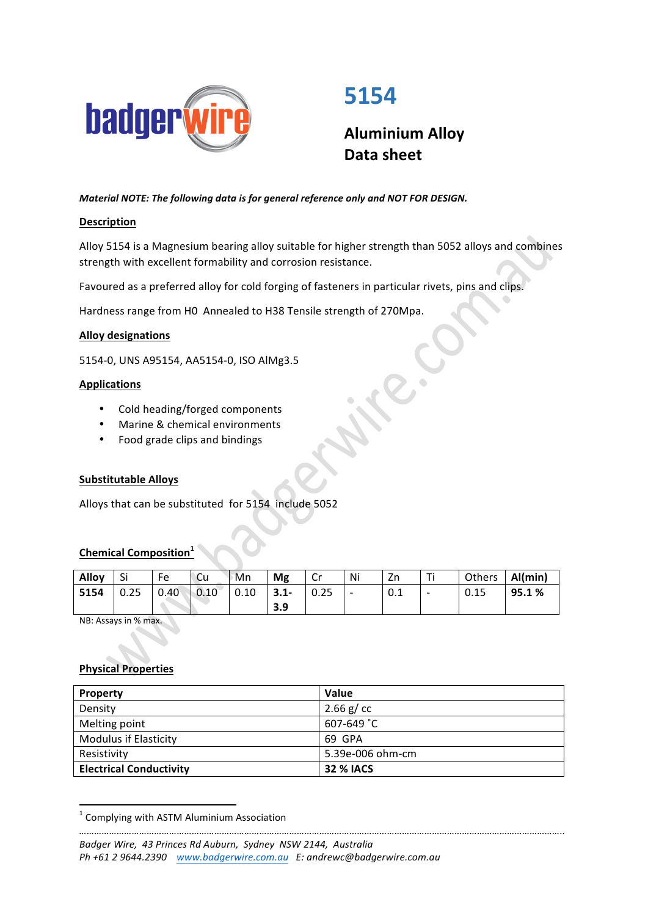

# **5154**

**Aluminium Alloy Data sheet**

*Material NOTE: The following data is for general reference only and NOT FOR DESIGN.* 

## **Description**

Alloy 5154 is a Magnesium bearing alloy suitable for higher strength than 5052 alloys and combines strength with excellent formability and corrosion resistance.

Favoured as a preferred alloy for cold forging of fasteners in particular rivets, pins and clips.

Hardness range from H0 Annealed to H38 Tensile strength of 270Mpa.

#### **Alloy designations**

5154-0, UNS A95154, AA5154-0, ISO AlMg3.5

#### **Applications**

- Cold heading/forged components
- Marine & chemical environments
- Food grade clips and bindings

#### **Substitutable Alloys**

Alloys that can be substituted for 5154 include 5052

# **Chemical Composition**

| Alloy | Si   | Fe   | `Cu          | '™Mn | Mg             | <b>C</b> .<br>U | Ni                       | Zn                |                          | Others | Al(min) |
|-------|------|------|--------------|------|----------------|-----------------|--------------------------|-------------------|--------------------------|--------|---------|
| 5154  | 0.25 | 0.40 | $\big  0.10$ | 0.10 | $3.1 -$<br>3.9 | 0.25            | $\overline{\phantom{0}}$ | $\Omega$ 1<br>U.I | $\overline{\phantom{0}}$ | 0.15   | 95.1%   |
|       |      |      |              |      |                |                 |                          |                   |                          |        |         |

NB: Assays in % max.

# **Physical Properties**

| Property                       | <b>Value</b>     |  |  |
|--------------------------------|------------------|--|--|
| Density                        | 2.66 $g$ / cc    |  |  |
| Melting point                  | 607-649 °C       |  |  |
| <b>Modulus if Elasticity</b>   | 69 GPA           |  |  |
| Resistivity                    | 5.39e-006 ohm-cm |  |  |
| <b>Electrical Conductivity</b> | <b>32 % IACS</b> |  |  |

 $1$  Complying with ASTM Aluminium Association

<u> 1989 - Jan Samuel Barbara, político establecido de la provincia de la provincia de la provincia de la provinci</u>

*<sup>…………………………………………………………………………………………………………………………………………………………………………..</sup>* Badger Wire, 43 Princes Rd Auburn, Sydney NSW 2144, Australia *Ph +61 2 9644.2390  [www.badgerwire.com.au](http://www.badgerwire.com.au) E: andrewc@badgerwire.com.au*